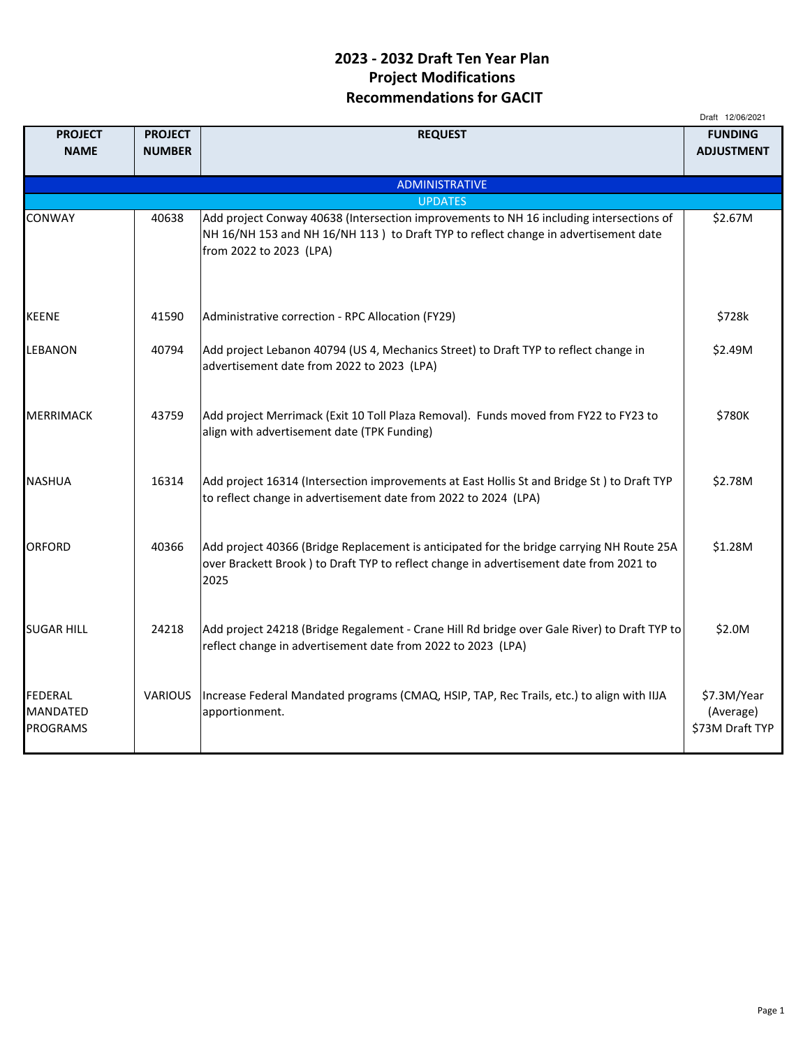## 2023 - 2032 Draft Ten Year Plan Project Modifications Recommendations for GACIT

|                                        |                |                                                                                                                                                                                             | Draft 12/06/2021                            |
|----------------------------------------|----------------|---------------------------------------------------------------------------------------------------------------------------------------------------------------------------------------------|---------------------------------------------|
| <b>PROJECT</b>                         | <b>PROJECT</b> | <b>REQUEST</b>                                                                                                                                                                              | <b>FUNDING</b>                              |
| <b>NAME</b>                            | <b>NUMBER</b>  |                                                                                                                                                                                             | <b>ADJUSTMENT</b>                           |
|                                        |                |                                                                                                                                                                                             |                                             |
|                                        |                | <b>ADMINISTRATIVE</b>                                                                                                                                                                       |                                             |
| CONWAY                                 | 40638          | <b>UPDATES</b><br>Add project Conway 40638 (Intersection improvements to NH 16 including intersections of                                                                                   | \$2.67M                                     |
|                                        |                | NH 16/NH 153 and NH 16/NH 113) to Draft TYP to reflect change in advertisement date<br>from 2022 to 2023 (LPA)                                                                              |                                             |
| <b>KEENE</b>                           | 41590          | Administrative correction - RPC Allocation (FY29)                                                                                                                                           | \$728k                                      |
| LEBANON                                | 40794          | Add project Lebanon 40794 (US 4, Mechanics Street) to Draft TYP to reflect change in<br>advertisement date from 2022 to 2023 (LPA)                                                          | \$2.49M                                     |
| <b>MERRIMACK</b>                       | 43759          | Add project Merrimack (Exit 10 Toll Plaza Removal). Funds moved from FY22 to FY23 to<br>align with advertisement date (TPK Funding)                                                         | \$780K                                      |
| <b>NASHUA</b>                          | 16314          | Add project 16314 (Intersection improvements at East Hollis St and Bridge St) to Draft TYP<br>to reflect change in advertisement date from 2022 to 2024 (LPA)                               | \$2.78M                                     |
| ORFORD                                 | 40366          | Add project 40366 (Bridge Replacement is anticipated for the bridge carrying NH Route 25A<br>over Brackett Brook) to Draft TYP to reflect change in advertisement date from 2021 to<br>2025 | \$1.28M                                     |
| <b>SUGAR HILL</b>                      | 24218          | Add project 24218 (Bridge Regalement - Crane Hill Rd bridge over Gale River) to Draft TYP to<br>reflect change in advertisement date from 2022 to 2023 (LPA)                                | \$2.0M                                      |
| FEDERAL<br>MANDATED<br><b>PROGRAMS</b> | <b>VARIOUS</b> | Increase Federal Mandated programs (CMAQ, HSIP, TAP, Rec Trails, etc.) to align with IIJA<br>apportionment.                                                                                 | \$7.3M/Year<br>(Average)<br>\$73M Draft TYP |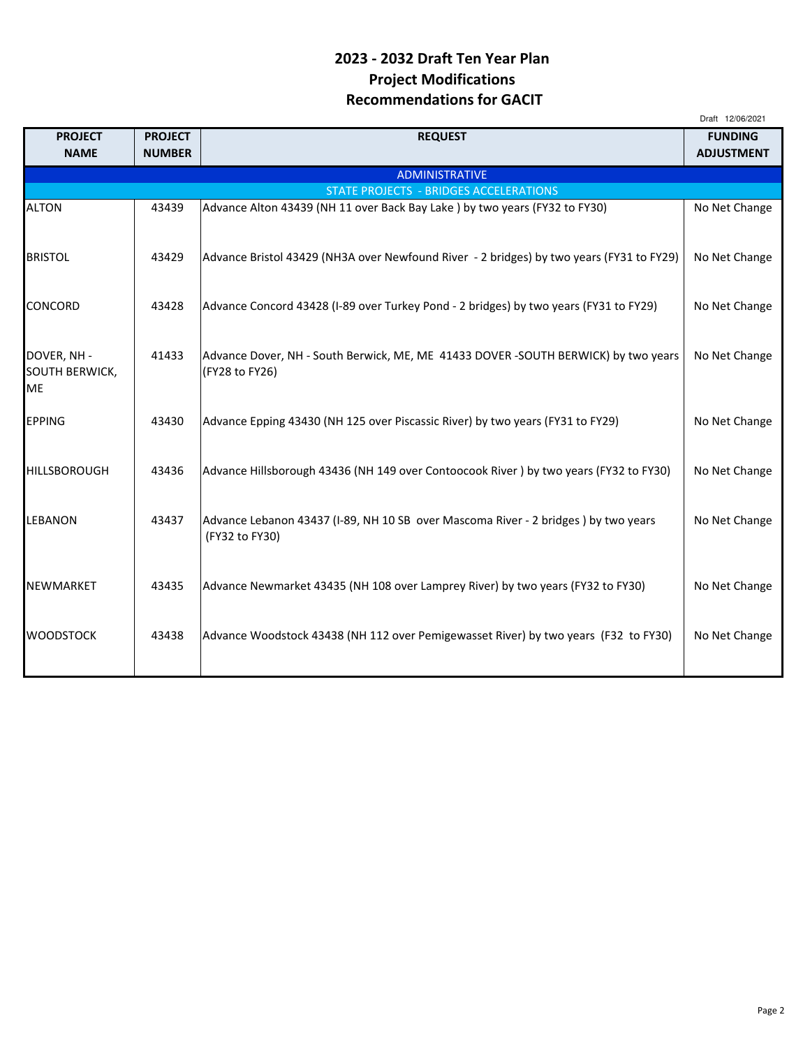## 2023 - 2032 Draft Ten Year Plan Project Modifications Recommendations for GACIT

|                                            |                |                                                                                                      | Draft 12/06/2021  |
|--------------------------------------------|----------------|------------------------------------------------------------------------------------------------------|-------------------|
| <b>PROJECT</b>                             | <b>PROJECT</b> | <b>REQUEST</b>                                                                                       | <b>FUNDING</b>    |
| <b>NAME</b>                                | <b>NUMBER</b>  |                                                                                                      | <b>ADJUSTMENT</b> |
|                                            |                | <b>ADMINISTRATIVE</b>                                                                                |                   |
|                                            |                | <b>STATE PROJECTS - BRIDGES ACCELERATIONS</b>                                                        |                   |
| <b>ALTON</b>                               | 43439          | Advance Alton 43439 (NH 11 over Back Bay Lake ) by two years (FY32 to FY30)                          | No Net Change     |
| <b>BRISTOL</b>                             | 43429          | Advance Bristol 43429 (NH3A over Newfound River - 2 bridges) by two years (FY31 to FY29)             | No Net Change     |
| <b>CONCORD</b>                             | 43428          | Advance Concord 43428 (I-89 over Turkey Pond - 2 bridges) by two years (FY31 to FY29)                | No Net Change     |
| DOVER, NH -<br>SOUTH BERWICK,<br><b>ME</b> | 41433          | Advance Dover, NH - South Berwick, ME, ME 41433 DOVER -SOUTH BERWICK) by two years<br>(FY28 to FY26) | No Net Change     |
| <b>EPPING</b>                              | 43430          | Advance Epping 43430 (NH 125 over Piscassic River) by two years (FY31 to FY29)                       | No Net Change     |
| <b>HILLSBOROUGH</b>                        | 43436          | Advance Hillsborough 43436 (NH 149 over Contoocook River) by two years (FY32 to FY30)                | No Net Change     |
| <b>LEBANON</b>                             | 43437          | Advance Lebanon 43437 (I-89, NH 10 SB over Mascoma River - 2 bridges) by two years<br>(FY32 to FY30) | No Net Change     |
| <b>NEWMARKET</b>                           | 43435          | Advance Newmarket 43435 (NH 108 over Lamprey River) by two years (FY32 to FY30)                      | No Net Change     |
| <b>WOODSTOCK</b>                           | 43438          | Advance Woodstock 43438 (NH 112 over Pemigewasset River) by two years (F32 to FY30)                  | No Net Change     |
|                                            |                |                                                                                                      |                   |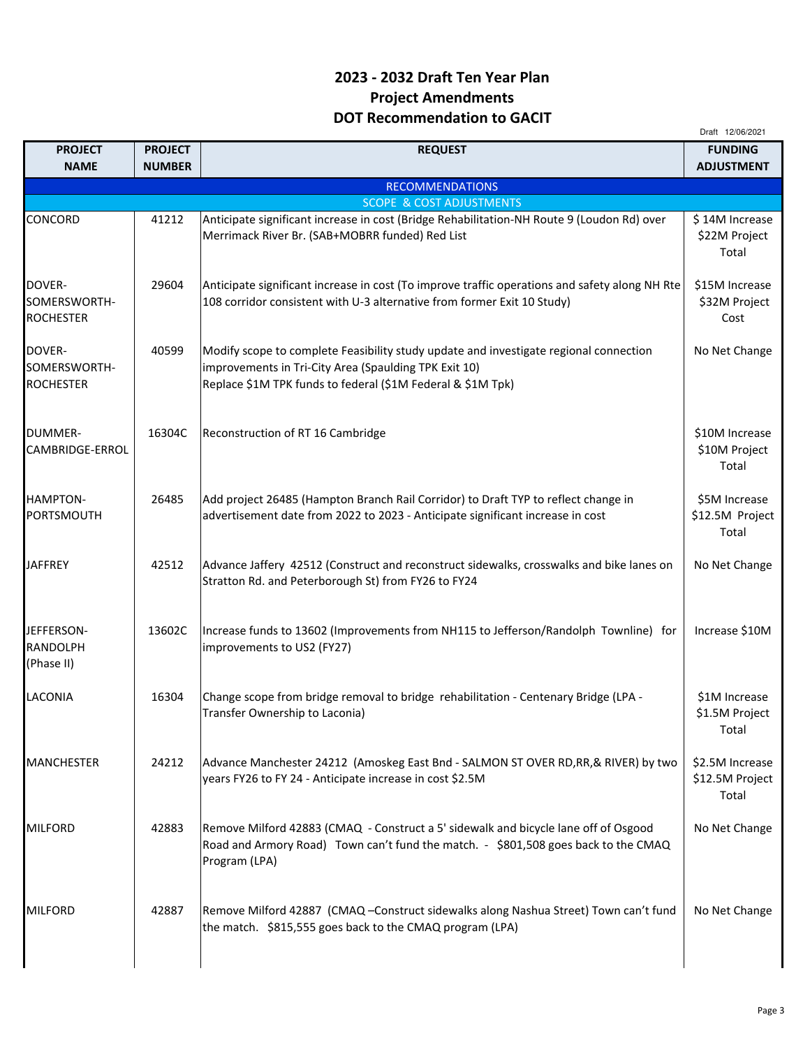## 2023 - 2032 Draft Ten Year Plan Project Amendments DOT Recommendation to GACIT

|                                             |                |                                                                                                                                                                                                               | Draft 12/06/2021                            |
|---------------------------------------------|----------------|---------------------------------------------------------------------------------------------------------------------------------------------------------------------------------------------------------------|---------------------------------------------|
| <b>PROJECT</b>                              | <b>PROJECT</b> | <b>REQUEST</b>                                                                                                                                                                                                | <b>FUNDING</b>                              |
| <b>NAME</b>                                 | <b>NUMBER</b>  |                                                                                                                                                                                                               | <b>ADJUSTMENT</b>                           |
|                                             |                | <b>RECOMMENDATIONS</b><br><b>SCOPE &amp; COST ADJUSTMENTS</b>                                                                                                                                                 |                                             |
| CONCORD                                     | 41212          | Anticipate significant increase in cost (Bridge Rehabilitation-NH Route 9 (Loudon Rd) over                                                                                                                    | \$14M Increase                              |
|                                             |                | Merrimack River Br. (SAB+MOBRR funded) Red List                                                                                                                                                               | \$22M Project<br>Total                      |
| DOVER-<br>SOMERSWORTH-<br><b>ROCHESTER</b>  | 29604          | Anticipate significant increase in cost (To improve traffic operations and safety along NH Rte<br>108 corridor consistent with U-3 alternative from former Exit 10 Study)                                     | \$15M Increase<br>\$32M Project<br>Cost     |
| DOVER-<br>SOMERSWORTH-<br><b>ROCHESTER</b>  | 40599          | Modify scope to complete Feasibility study update and investigate regional connection<br>improvements in Tri-City Area (Spaulding TPK Exit 10)<br>Replace \$1M TPK funds to federal (\$1M Federal & \$1M Tpk) | No Net Change                               |
| <b>DUMMER-</b><br>CAMBRIDGE-ERROL           | 16304C         | Reconstruction of RT 16 Cambridge                                                                                                                                                                             | \$10M Increase<br>\$10M Project<br>Total    |
| HAMPTON-<br><b>PORTSMOUTH</b>               | 26485          | Add project 26485 (Hampton Branch Rail Corridor) to Draft TYP to reflect change in<br>advertisement date from 2022 to 2023 - Anticipate significant increase in cost                                          | \$5M Increase<br>\$12.5M Project<br>Total   |
| <b>JAFFREY</b>                              | 42512          | Advance Jaffery 42512 (Construct and reconstruct sidewalks, crosswalks and bike lanes on<br>Stratton Rd. and Peterborough St) from FY26 to FY24                                                               | No Net Change                               |
| JEFFERSON-<br><b>RANDOLPH</b><br>(Phase II) | 13602C         | Increase funds to 13602 (Improvements from NH115 to Jefferson/Randolph Townline) for<br>improvements to US2 (FY27)                                                                                            | Increase \$10M                              |
| LACONIA                                     | 16304          | Change scope from bridge removal to bridge rehabilitation - Centenary Bridge (LPA -<br>Transfer Ownership to Laconia)                                                                                         | \$1M Increase<br>\$1.5M Project<br>Total    |
| MANCHESTER                                  | 24212          | Advance Manchester 24212 (Amoskeg East Bnd - SALMON ST OVER RD,RR,& RIVER) by two<br>years FY26 to FY 24 - Anticipate increase in cost \$2.5M                                                                 | \$2.5M Increase<br>\$12.5M Project<br>Total |
| <b>MILFORD</b>                              | 42883          | Remove Milford 42883 (CMAQ - Construct a 5' sidewalk and bicycle lane off of Osgood<br>Road and Armory Road) Town can't fund the match. - \$801,508 goes back to the CMAQ<br>Program (LPA)                    | No Net Change                               |
| <b>MILFORD</b>                              | 42887          | Remove Milford 42887 (CMAQ - Construct sidewalks along Nashua Street) Town can't fund<br>the match. \$815,555 goes back to the CMAQ program (LPA)                                                             | No Net Change                               |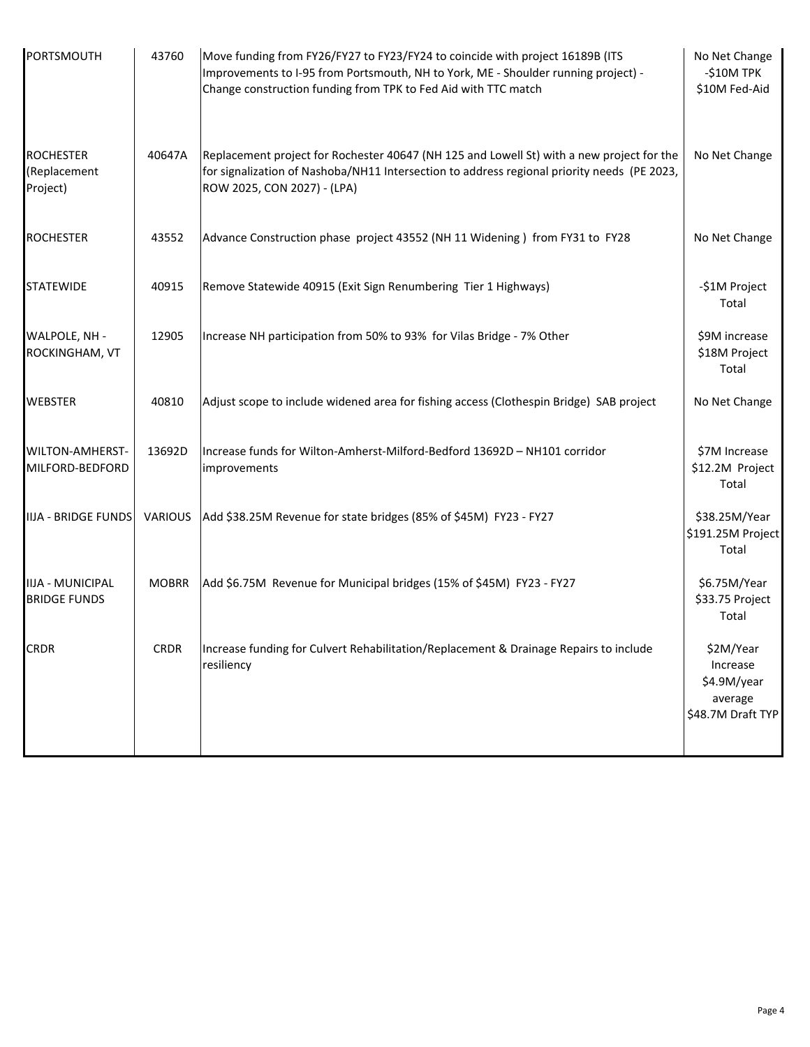| PORTSMOUTH                                     | 43760        | Move funding from FY26/FY27 to FY23/FY24 to coincide with project 16189B (ITS<br>Improvements to I-95 from Portsmouth, NH to York, ME - Shoulder running project) -<br>Change construction funding from TPK to Fed Aid with TTC match | No Net Change<br>-\$10M TPK<br>\$10M Fed-Aid                         |
|------------------------------------------------|--------------|---------------------------------------------------------------------------------------------------------------------------------------------------------------------------------------------------------------------------------------|----------------------------------------------------------------------|
| <b>ROCHESTER</b><br>(Replacement<br>Project)   | 40647A       | Replacement project for Rochester 40647 (NH 125 and Lowell St) with a new project for the<br>for signalization of Nashoba/NH11 Intersection to address regional priority needs (PE 2023,<br>ROW 2025, CON 2027) - (LPA)               | No Net Change                                                        |
| <b>ROCHESTER</b>                               | 43552        | Advance Construction phase project 43552 (NH 11 Widening) from FY31 to FY28                                                                                                                                                           | No Net Change                                                        |
| <b>STATEWIDE</b>                               | 40915        | Remove Statewide 40915 (Exit Sign Renumbering Tier 1 Highways)                                                                                                                                                                        | -\$1M Project<br>Total                                               |
| WALPOLE, NH -<br>ROCKINGHAM, VT                | 12905        | Increase NH participation from 50% to 93% for Vilas Bridge - 7% Other                                                                                                                                                                 | \$9M increase<br>\$18M Project<br>Total                              |
| <b>WEBSTER</b>                                 | 40810        | Adjust scope to include widened area for fishing access (Clothespin Bridge) SAB project                                                                                                                                               | No Net Change                                                        |
| <b>WILTON-AMHERST-</b><br>MILFORD-BEDFORD      | 13692D       | Increase funds for Wilton-Amherst-Milford-Bedford 13692D - NH101 corridor<br>improvements                                                                                                                                             | \$7M Increase<br>\$12.2M Project<br>Total                            |
|                                                |              | IIJA - BRIDGE FUNDS   VARIOUS   Add \$38.25M Revenue for state bridges (85% of \$45M) FY23 - FY27                                                                                                                                     | \$38.25M/Year<br>\$191.25M Project<br>Total                          |
| <b>IIJA - MUNICIPAL</b><br><b>BRIDGE FUNDS</b> | <b>MOBRR</b> | Add \$6.75M Revenue for Municipal bridges (15% of \$45M) FY23 - FY27                                                                                                                                                                  | \$6.75M/Year<br>\$33.75 Project<br>Total                             |
| <b>CRDR</b>                                    | <b>CRDR</b>  | Increase funding for Culvert Rehabilitation/Replacement & Drainage Repairs to include<br>resiliency                                                                                                                                   | \$2M/Year<br>Increase<br>\$4.9M/year<br>average<br>\$48.7M Draft TYP |